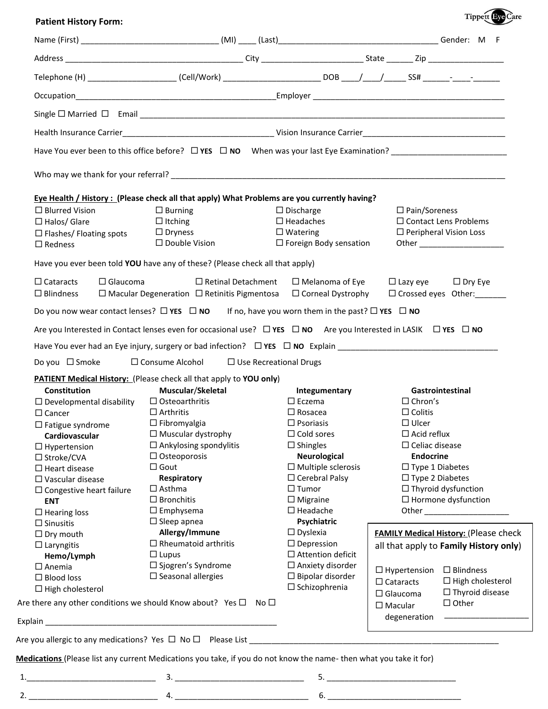## **Patient History Form:**

| <b>Tippett Eve Care</b> |
|-------------------------|
|                         |

| Telephone (H) _______________________(Cell/Work) __________________________DOB ____/ ____/ ______SS# ______- ____-<br>Eye Health / History : (Please check all that apply) What Problems are you currently having?<br>$\Box$ Blurred Vision<br>$\Box$ Burning<br>$\Box$ Discharge<br>$\Box$ Pain/Soreness<br>$\square$ Headaches<br>$\Box$ Contact Lens Problems<br>$\Box$ Halos/ Glare<br>$\Box$ Itching<br>$\Box$ Dryness<br>$\Box$ Watering<br>$\Box$ Peripheral Vision Loss<br>$\square$ Flashes/ Floating spots<br>□ Double Vision<br>$\Box$ Foreign Body sensation<br>$\Box$ Redness<br>Have you ever been told YOU have any of these? (Please check all that apply)<br>$\Box$ Cataracts<br>$\Box$ Glaucoma<br>$\Box$ Retinal Detachment<br>$\Box$ Melanoma of Eye<br>$\Box$ Lazy eye<br>$\Box$ Corneal Dystrophy<br>$\Box$ Blindness<br>$\Box$ Macular Degeneration $\Box$ Retinitis Pigmentosa<br>Do you now wear contact lenses? $\Box$ YES $\Box$ NO If no, have you worn them in the past? $\Box$ YES $\Box$ NO<br>Are you Interested in Contact lenses even for occasional use? $\Box$ YES $\Box$ NO Are you Interested in LASIK $\Box$ YES $\Box$ NO<br>$\Box$ Consume Alcohol $\Box$ Use Recreational Drugs<br>Do you $\Box$ Smoke<br><b>PATIENT Medical History:</b> (Please check all that apply to YOU only)<br><b>Constitution</b><br>Muscular/Skeletal<br>Gastrointestinal<br>Integumentary<br>$\Box$ Osteoarthritis<br>$\Box$ Developmental disability<br>$\square$ Eczema<br>$\Box$ Chron's<br>$\Box$ Arthritis<br>$\Box$ Rosacea<br>$\Box$ Colitis<br>$\Box$ Cancer<br>$\Box$ Psoriasis<br>$\Box$ Ulcer<br>$\Box$ Fibromyalgia<br>$\Box$ Fatigue syndrome<br>$\Box$ Muscular dystrophy<br>$\Box$ Cold sores<br>$\Box$ Acid reflux<br>Cardiovascular<br>$\Box$ Ankylosing spondylitis<br>$\Box$ Shingles<br>$\Box$ Celiac disease<br>$\Box$ Hypertension<br><b>Endocrine</b><br>$\Box$ Osteoporosis<br><b>Neurological</b><br>□ Stroke/CVA<br>$\Box$ Multiple sclerosis<br>$\Box$ Type 1 Diabetes<br>$\square$ Gout<br>$\Box$ Heart disease<br>$\Box$ Type 2 Diabetes<br>$\Box$ Cerebral Palsy<br>Respiratory<br>$\Box$ Vascular disease<br>$\Box$ Tumor<br>$\Box$ Thyroid dysfunction<br>$\Box$ Asthma<br>$\Box$ Congestive heart failure<br>$\Box$ Hormone dysfunction<br>$\Box$ Bronchitis<br>$\Box$ Migraine<br><b>ENT</b><br>$\Box$ Headache<br>$\square$ Emphysema<br>Other _____________________<br>$\Box$ Hearing loss<br>$\Box$ Sleep apnea<br>Psychiatric<br>$\Box$ Sinusitis<br>Allergy/Immune<br>$\square$ Dyslexia<br><b>FAMILY Medical History: (Please check</b><br>$\Box$ Dry mouth<br>$\Box$ Rheumatoid arthritis<br>$\Box$ Depression<br>$\Box$ Laryngitis<br>all that apply to Family History only)<br>$\Box$ Attention deficit<br>$\Box$ Lupus<br>Hemo/Lymph<br>$\Box$ Sjogren's Syndrome<br>$\Box$ Anxiety disorder<br>$\square$ Anemia<br>$\Box$ Hypertension<br>$\square$ Seasonal allergies<br>$\Box$ Bipolar disorder<br>$\Box$ Blood loss<br>$\Box$ Cataracts<br>$\square$ Schizophrenia<br>$\Box$ High cholesterol<br>$\Box$ Glaucoma<br>Are there any other conditions we should Know about? Yes $\square$ No $\square$<br>$\Box$ Other<br>$\Box$ Macular<br>degeneration<br>Medications (Please list any current Medications you take, if you do not know the name-then what you take it for) |  |  |                            |  |
|-------------------------------------------------------------------------------------------------------------------------------------------------------------------------------------------------------------------------------------------------------------------------------------------------------------------------------------------------------------------------------------------------------------------------------------------------------------------------------------------------------------------------------------------------------------------------------------------------------------------------------------------------------------------------------------------------------------------------------------------------------------------------------------------------------------------------------------------------------------------------------------------------------------------------------------------------------------------------------------------------------------------------------------------------------------------------------------------------------------------------------------------------------------------------------------------------------------------------------------------------------------------------------------------------------------------------------------------------------------------------------------------------------------------------------------------------------------------------------------------------------------------------------------------------------------------------------------------------------------------------------------------------------------------------------------------------------------------------------------------------------------------------------------------------------------------------------------------------------------------------------------------------------------------------------------------------------------------------------------------------------------------------------------------------------------------------------------------------------------------------------------------------------------------------------------------------------------------------------------------------------------------------------------------------------------------------------------------------------------------------------------------------------------------------------------------------------------------------------------------------------------------------------------------------------------------------------------------------------------------------------------------------------------------------------------------------------------------------------------------------------------------------------------------------------------------------------------------------------------------------------------------------------------------------------------------------------------------------------------------------------------------------------------------------------------------------------------------------------------------------------------------------------------------------------------------------------------------------------------------------------------------------------------------------------------------------------------------------|--|--|----------------------------|--|
|                                                                                                                                                                                                                                                                                                                                                                                                                                                                                                                                                                                                                                                                                                                                                                                                                                                                                                                                                                                                                                                                                                                                                                                                                                                                                                                                                                                                                                                                                                                                                                                                                                                                                                                                                                                                                                                                                                                                                                                                                                                                                                                                                                                                                                                                                                                                                                                                                                                                                                                                                                                                                                                                                                                                                                                                                                                                                                                                                                                                                                                                                                                                                                                                                                                                                                                                                 |  |  |                            |  |
|                                                                                                                                                                                                                                                                                                                                                                                                                                                                                                                                                                                                                                                                                                                                                                                                                                                                                                                                                                                                                                                                                                                                                                                                                                                                                                                                                                                                                                                                                                                                                                                                                                                                                                                                                                                                                                                                                                                                                                                                                                                                                                                                                                                                                                                                                                                                                                                                                                                                                                                                                                                                                                                                                                                                                                                                                                                                                                                                                                                                                                                                                                                                                                                                                                                                                                                                                 |  |  |                            |  |
|                                                                                                                                                                                                                                                                                                                                                                                                                                                                                                                                                                                                                                                                                                                                                                                                                                                                                                                                                                                                                                                                                                                                                                                                                                                                                                                                                                                                                                                                                                                                                                                                                                                                                                                                                                                                                                                                                                                                                                                                                                                                                                                                                                                                                                                                                                                                                                                                                                                                                                                                                                                                                                                                                                                                                                                                                                                                                                                                                                                                                                                                                                                                                                                                                                                                                                                                                 |  |  |                            |  |
|                                                                                                                                                                                                                                                                                                                                                                                                                                                                                                                                                                                                                                                                                                                                                                                                                                                                                                                                                                                                                                                                                                                                                                                                                                                                                                                                                                                                                                                                                                                                                                                                                                                                                                                                                                                                                                                                                                                                                                                                                                                                                                                                                                                                                                                                                                                                                                                                                                                                                                                                                                                                                                                                                                                                                                                                                                                                                                                                                                                                                                                                                                                                                                                                                                                                                                                                                 |  |  |                            |  |
|                                                                                                                                                                                                                                                                                                                                                                                                                                                                                                                                                                                                                                                                                                                                                                                                                                                                                                                                                                                                                                                                                                                                                                                                                                                                                                                                                                                                                                                                                                                                                                                                                                                                                                                                                                                                                                                                                                                                                                                                                                                                                                                                                                                                                                                                                                                                                                                                                                                                                                                                                                                                                                                                                                                                                                                                                                                                                                                                                                                                                                                                                                                                                                                                                                                                                                                                                 |  |  |                            |  |
|                                                                                                                                                                                                                                                                                                                                                                                                                                                                                                                                                                                                                                                                                                                                                                                                                                                                                                                                                                                                                                                                                                                                                                                                                                                                                                                                                                                                                                                                                                                                                                                                                                                                                                                                                                                                                                                                                                                                                                                                                                                                                                                                                                                                                                                                                                                                                                                                                                                                                                                                                                                                                                                                                                                                                                                                                                                                                                                                                                                                                                                                                                                                                                                                                                                                                                                                                 |  |  |                            |  |
|                                                                                                                                                                                                                                                                                                                                                                                                                                                                                                                                                                                                                                                                                                                                                                                                                                                                                                                                                                                                                                                                                                                                                                                                                                                                                                                                                                                                                                                                                                                                                                                                                                                                                                                                                                                                                                                                                                                                                                                                                                                                                                                                                                                                                                                                                                                                                                                                                                                                                                                                                                                                                                                                                                                                                                                                                                                                                                                                                                                                                                                                                                                                                                                                                                                                                                                                                 |  |  |                            |  |
|                                                                                                                                                                                                                                                                                                                                                                                                                                                                                                                                                                                                                                                                                                                                                                                                                                                                                                                                                                                                                                                                                                                                                                                                                                                                                                                                                                                                                                                                                                                                                                                                                                                                                                                                                                                                                                                                                                                                                                                                                                                                                                                                                                                                                                                                                                                                                                                                                                                                                                                                                                                                                                                                                                                                                                                                                                                                                                                                                                                                                                                                                                                                                                                                                                                                                                                                                 |  |  |                            |  |
|                                                                                                                                                                                                                                                                                                                                                                                                                                                                                                                                                                                                                                                                                                                                                                                                                                                                                                                                                                                                                                                                                                                                                                                                                                                                                                                                                                                                                                                                                                                                                                                                                                                                                                                                                                                                                                                                                                                                                                                                                                                                                                                                                                                                                                                                                                                                                                                                                                                                                                                                                                                                                                                                                                                                                                                                                                                                                                                                                                                                                                                                                                                                                                                                                                                                                                                                                 |  |  |                            |  |
|                                                                                                                                                                                                                                                                                                                                                                                                                                                                                                                                                                                                                                                                                                                                                                                                                                                                                                                                                                                                                                                                                                                                                                                                                                                                                                                                                                                                                                                                                                                                                                                                                                                                                                                                                                                                                                                                                                                                                                                                                                                                                                                                                                                                                                                                                                                                                                                                                                                                                                                                                                                                                                                                                                                                                                                                                                                                                                                                                                                                                                                                                                                                                                                                                                                                                                                                                 |  |  |                            |  |
|                                                                                                                                                                                                                                                                                                                                                                                                                                                                                                                                                                                                                                                                                                                                                                                                                                                                                                                                                                                                                                                                                                                                                                                                                                                                                                                                                                                                                                                                                                                                                                                                                                                                                                                                                                                                                                                                                                                                                                                                                                                                                                                                                                                                                                                                                                                                                                                                                                                                                                                                                                                                                                                                                                                                                                                                                                                                                                                                                                                                                                                                                                                                                                                                                                                                                                                                                 |  |  |                            |  |
|                                                                                                                                                                                                                                                                                                                                                                                                                                                                                                                                                                                                                                                                                                                                                                                                                                                                                                                                                                                                                                                                                                                                                                                                                                                                                                                                                                                                                                                                                                                                                                                                                                                                                                                                                                                                                                                                                                                                                                                                                                                                                                                                                                                                                                                                                                                                                                                                                                                                                                                                                                                                                                                                                                                                                                                                                                                                                                                                                                                                                                                                                                                                                                                                                                                                                                                                                 |  |  |                            |  |
|                                                                                                                                                                                                                                                                                                                                                                                                                                                                                                                                                                                                                                                                                                                                                                                                                                                                                                                                                                                                                                                                                                                                                                                                                                                                                                                                                                                                                                                                                                                                                                                                                                                                                                                                                                                                                                                                                                                                                                                                                                                                                                                                                                                                                                                                                                                                                                                                                                                                                                                                                                                                                                                                                                                                                                                                                                                                                                                                                                                                                                                                                                                                                                                                                                                                                                                                                 |  |  |                            |  |
|                                                                                                                                                                                                                                                                                                                                                                                                                                                                                                                                                                                                                                                                                                                                                                                                                                                                                                                                                                                                                                                                                                                                                                                                                                                                                                                                                                                                                                                                                                                                                                                                                                                                                                                                                                                                                                                                                                                                                                                                                                                                                                                                                                                                                                                                                                                                                                                                                                                                                                                                                                                                                                                                                                                                                                                                                                                                                                                                                                                                                                                                                                                                                                                                                                                                                                                                                 |  |  | $\Box$ Dry Eye             |  |
|                                                                                                                                                                                                                                                                                                                                                                                                                                                                                                                                                                                                                                                                                                                                                                                                                                                                                                                                                                                                                                                                                                                                                                                                                                                                                                                                                                                                                                                                                                                                                                                                                                                                                                                                                                                                                                                                                                                                                                                                                                                                                                                                                                                                                                                                                                                                                                                                                                                                                                                                                                                                                                                                                                                                                                                                                                                                                                                                                                                                                                                                                                                                                                                                                                                                                                                                                 |  |  | □ Crossed eyes Other:<br>□ |  |
|                                                                                                                                                                                                                                                                                                                                                                                                                                                                                                                                                                                                                                                                                                                                                                                                                                                                                                                                                                                                                                                                                                                                                                                                                                                                                                                                                                                                                                                                                                                                                                                                                                                                                                                                                                                                                                                                                                                                                                                                                                                                                                                                                                                                                                                                                                                                                                                                                                                                                                                                                                                                                                                                                                                                                                                                                                                                                                                                                                                                                                                                                                                                                                                                                                                                                                                                                 |  |  |                            |  |
|                                                                                                                                                                                                                                                                                                                                                                                                                                                                                                                                                                                                                                                                                                                                                                                                                                                                                                                                                                                                                                                                                                                                                                                                                                                                                                                                                                                                                                                                                                                                                                                                                                                                                                                                                                                                                                                                                                                                                                                                                                                                                                                                                                                                                                                                                                                                                                                                                                                                                                                                                                                                                                                                                                                                                                                                                                                                                                                                                                                                                                                                                                                                                                                                                                                                                                                                                 |  |  |                            |  |
|                                                                                                                                                                                                                                                                                                                                                                                                                                                                                                                                                                                                                                                                                                                                                                                                                                                                                                                                                                                                                                                                                                                                                                                                                                                                                                                                                                                                                                                                                                                                                                                                                                                                                                                                                                                                                                                                                                                                                                                                                                                                                                                                                                                                                                                                                                                                                                                                                                                                                                                                                                                                                                                                                                                                                                                                                                                                                                                                                                                                                                                                                                                                                                                                                                                                                                                                                 |  |  |                            |  |
|                                                                                                                                                                                                                                                                                                                                                                                                                                                                                                                                                                                                                                                                                                                                                                                                                                                                                                                                                                                                                                                                                                                                                                                                                                                                                                                                                                                                                                                                                                                                                                                                                                                                                                                                                                                                                                                                                                                                                                                                                                                                                                                                                                                                                                                                                                                                                                                                                                                                                                                                                                                                                                                                                                                                                                                                                                                                                                                                                                                                                                                                                                                                                                                                                                                                                                                                                 |  |  |                            |  |
|                                                                                                                                                                                                                                                                                                                                                                                                                                                                                                                                                                                                                                                                                                                                                                                                                                                                                                                                                                                                                                                                                                                                                                                                                                                                                                                                                                                                                                                                                                                                                                                                                                                                                                                                                                                                                                                                                                                                                                                                                                                                                                                                                                                                                                                                                                                                                                                                                                                                                                                                                                                                                                                                                                                                                                                                                                                                                                                                                                                                                                                                                                                                                                                                                                                                                                                                                 |  |  |                            |  |
|                                                                                                                                                                                                                                                                                                                                                                                                                                                                                                                                                                                                                                                                                                                                                                                                                                                                                                                                                                                                                                                                                                                                                                                                                                                                                                                                                                                                                                                                                                                                                                                                                                                                                                                                                                                                                                                                                                                                                                                                                                                                                                                                                                                                                                                                                                                                                                                                                                                                                                                                                                                                                                                                                                                                                                                                                                                                                                                                                                                                                                                                                                                                                                                                                                                                                                                                                 |  |  |                            |  |
|                                                                                                                                                                                                                                                                                                                                                                                                                                                                                                                                                                                                                                                                                                                                                                                                                                                                                                                                                                                                                                                                                                                                                                                                                                                                                                                                                                                                                                                                                                                                                                                                                                                                                                                                                                                                                                                                                                                                                                                                                                                                                                                                                                                                                                                                                                                                                                                                                                                                                                                                                                                                                                                                                                                                                                                                                                                                                                                                                                                                                                                                                                                                                                                                                                                                                                                                                 |  |  |                            |  |
|                                                                                                                                                                                                                                                                                                                                                                                                                                                                                                                                                                                                                                                                                                                                                                                                                                                                                                                                                                                                                                                                                                                                                                                                                                                                                                                                                                                                                                                                                                                                                                                                                                                                                                                                                                                                                                                                                                                                                                                                                                                                                                                                                                                                                                                                                                                                                                                                                                                                                                                                                                                                                                                                                                                                                                                                                                                                                                                                                                                                                                                                                                                                                                                                                                                                                                                                                 |  |  |                            |  |
|                                                                                                                                                                                                                                                                                                                                                                                                                                                                                                                                                                                                                                                                                                                                                                                                                                                                                                                                                                                                                                                                                                                                                                                                                                                                                                                                                                                                                                                                                                                                                                                                                                                                                                                                                                                                                                                                                                                                                                                                                                                                                                                                                                                                                                                                                                                                                                                                                                                                                                                                                                                                                                                                                                                                                                                                                                                                                                                                                                                                                                                                                                                                                                                                                                                                                                                                                 |  |  |                            |  |
|                                                                                                                                                                                                                                                                                                                                                                                                                                                                                                                                                                                                                                                                                                                                                                                                                                                                                                                                                                                                                                                                                                                                                                                                                                                                                                                                                                                                                                                                                                                                                                                                                                                                                                                                                                                                                                                                                                                                                                                                                                                                                                                                                                                                                                                                                                                                                                                                                                                                                                                                                                                                                                                                                                                                                                                                                                                                                                                                                                                                                                                                                                                                                                                                                                                                                                                                                 |  |  |                            |  |
|                                                                                                                                                                                                                                                                                                                                                                                                                                                                                                                                                                                                                                                                                                                                                                                                                                                                                                                                                                                                                                                                                                                                                                                                                                                                                                                                                                                                                                                                                                                                                                                                                                                                                                                                                                                                                                                                                                                                                                                                                                                                                                                                                                                                                                                                                                                                                                                                                                                                                                                                                                                                                                                                                                                                                                                                                                                                                                                                                                                                                                                                                                                                                                                                                                                                                                                                                 |  |  |                            |  |
|                                                                                                                                                                                                                                                                                                                                                                                                                                                                                                                                                                                                                                                                                                                                                                                                                                                                                                                                                                                                                                                                                                                                                                                                                                                                                                                                                                                                                                                                                                                                                                                                                                                                                                                                                                                                                                                                                                                                                                                                                                                                                                                                                                                                                                                                                                                                                                                                                                                                                                                                                                                                                                                                                                                                                                                                                                                                                                                                                                                                                                                                                                                                                                                                                                                                                                                                                 |  |  |                            |  |
|                                                                                                                                                                                                                                                                                                                                                                                                                                                                                                                                                                                                                                                                                                                                                                                                                                                                                                                                                                                                                                                                                                                                                                                                                                                                                                                                                                                                                                                                                                                                                                                                                                                                                                                                                                                                                                                                                                                                                                                                                                                                                                                                                                                                                                                                                                                                                                                                                                                                                                                                                                                                                                                                                                                                                                                                                                                                                                                                                                                                                                                                                                                                                                                                                                                                                                                                                 |  |  |                            |  |
|                                                                                                                                                                                                                                                                                                                                                                                                                                                                                                                                                                                                                                                                                                                                                                                                                                                                                                                                                                                                                                                                                                                                                                                                                                                                                                                                                                                                                                                                                                                                                                                                                                                                                                                                                                                                                                                                                                                                                                                                                                                                                                                                                                                                                                                                                                                                                                                                                                                                                                                                                                                                                                                                                                                                                                                                                                                                                                                                                                                                                                                                                                                                                                                                                                                                                                                                                 |  |  |                            |  |
|                                                                                                                                                                                                                                                                                                                                                                                                                                                                                                                                                                                                                                                                                                                                                                                                                                                                                                                                                                                                                                                                                                                                                                                                                                                                                                                                                                                                                                                                                                                                                                                                                                                                                                                                                                                                                                                                                                                                                                                                                                                                                                                                                                                                                                                                                                                                                                                                                                                                                                                                                                                                                                                                                                                                                                                                                                                                                                                                                                                                                                                                                                                                                                                                                                                                                                                                                 |  |  |                            |  |
|                                                                                                                                                                                                                                                                                                                                                                                                                                                                                                                                                                                                                                                                                                                                                                                                                                                                                                                                                                                                                                                                                                                                                                                                                                                                                                                                                                                                                                                                                                                                                                                                                                                                                                                                                                                                                                                                                                                                                                                                                                                                                                                                                                                                                                                                                                                                                                                                                                                                                                                                                                                                                                                                                                                                                                                                                                                                                                                                                                                                                                                                                                                                                                                                                                                                                                                                                 |  |  |                            |  |
|                                                                                                                                                                                                                                                                                                                                                                                                                                                                                                                                                                                                                                                                                                                                                                                                                                                                                                                                                                                                                                                                                                                                                                                                                                                                                                                                                                                                                                                                                                                                                                                                                                                                                                                                                                                                                                                                                                                                                                                                                                                                                                                                                                                                                                                                                                                                                                                                                                                                                                                                                                                                                                                                                                                                                                                                                                                                                                                                                                                                                                                                                                                                                                                                                                                                                                                                                 |  |  |                            |  |
|                                                                                                                                                                                                                                                                                                                                                                                                                                                                                                                                                                                                                                                                                                                                                                                                                                                                                                                                                                                                                                                                                                                                                                                                                                                                                                                                                                                                                                                                                                                                                                                                                                                                                                                                                                                                                                                                                                                                                                                                                                                                                                                                                                                                                                                                                                                                                                                                                                                                                                                                                                                                                                                                                                                                                                                                                                                                                                                                                                                                                                                                                                                                                                                                                                                                                                                                                 |  |  |                            |  |
|                                                                                                                                                                                                                                                                                                                                                                                                                                                                                                                                                                                                                                                                                                                                                                                                                                                                                                                                                                                                                                                                                                                                                                                                                                                                                                                                                                                                                                                                                                                                                                                                                                                                                                                                                                                                                                                                                                                                                                                                                                                                                                                                                                                                                                                                                                                                                                                                                                                                                                                                                                                                                                                                                                                                                                                                                                                                                                                                                                                                                                                                                                                                                                                                                                                                                                                                                 |  |  |                            |  |
|                                                                                                                                                                                                                                                                                                                                                                                                                                                                                                                                                                                                                                                                                                                                                                                                                                                                                                                                                                                                                                                                                                                                                                                                                                                                                                                                                                                                                                                                                                                                                                                                                                                                                                                                                                                                                                                                                                                                                                                                                                                                                                                                                                                                                                                                                                                                                                                                                                                                                                                                                                                                                                                                                                                                                                                                                                                                                                                                                                                                                                                                                                                                                                                                                                                                                                                                                 |  |  |                            |  |
|                                                                                                                                                                                                                                                                                                                                                                                                                                                                                                                                                                                                                                                                                                                                                                                                                                                                                                                                                                                                                                                                                                                                                                                                                                                                                                                                                                                                                                                                                                                                                                                                                                                                                                                                                                                                                                                                                                                                                                                                                                                                                                                                                                                                                                                                                                                                                                                                                                                                                                                                                                                                                                                                                                                                                                                                                                                                                                                                                                                                                                                                                                                                                                                                                                                                                                                                                 |  |  |                            |  |
|                                                                                                                                                                                                                                                                                                                                                                                                                                                                                                                                                                                                                                                                                                                                                                                                                                                                                                                                                                                                                                                                                                                                                                                                                                                                                                                                                                                                                                                                                                                                                                                                                                                                                                                                                                                                                                                                                                                                                                                                                                                                                                                                                                                                                                                                                                                                                                                                                                                                                                                                                                                                                                                                                                                                                                                                                                                                                                                                                                                                                                                                                                                                                                                                                                                                                                                                                 |  |  |                            |  |
|                                                                                                                                                                                                                                                                                                                                                                                                                                                                                                                                                                                                                                                                                                                                                                                                                                                                                                                                                                                                                                                                                                                                                                                                                                                                                                                                                                                                                                                                                                                                                                                                                                                                                                                                                                                                                                                                                                                                                                                                                                                                                                                                                                                                                                                                                                                                                                                                                                                                                                                                                                                                                                                                                                                                                                                                                                                                                                                                                                                                                                                                                                                                                                                                                                                                                                                                                 |  |  |                            |  |
|                                                                                                                                                                                                                                                                                                                                                                                                                                                                                                                                                                                                                                                                                                                                                                                                                                                                                                                                                                                                                                                                                                                                                                                                                                                                                                                                                                                                                                                                                                                                                                                                                                                                                                                                                                                                                                                                                                                                                                                                                                                                                                                                                                                                                                                                                                                                                                                                                                                                                                                                                                                                                                                                                                                                                                                                                                                                                                                                                                                                                                                                                                                                                                                                                                                                                                                                                 |  |  | $\square$ Blindness        |  |
|                                                                                                                                                                                                                                                                                                                                                                                                                                                                                                                                                                                                                                                                                                                                                                                                                                                                                                                                                                                                                                                                                                                                                                                                                                                                                                                                                                                                                                                                                                                                                                                                                                                                                                                                                                                                                                                                                                                                                                                                                                                                                                                                                                                                                                                                                                                                                                                                                                                                                                                                                                                                                                                                                                                                                                                                                                                                                                                                                                                                                                                                                                                                                                                                                                                                                                                                                 |  |  | $\Box$ High cholesterol    |  |
|                                                                                                                                                                                                                                                                                                                                                                                                                                                                                                                                                                                                                                                                                                                                                                                                                                                                                                                                                                                                                                                                                                                                                                                                                                                                                                                                                                                                                                                                                                                                                                                                                                                                                                                                                                                                                                                                                                                                                                                                                                                                                                                                                                                                                                                                                                                                                                                                                                                                                                                                                                                                                                                                                                                                                                                                                                                                                                                                                                                                                                                                                                                                                                                                                                                                                                                                                 |  |  | $\Box$ Thyroid disease     |  |
|                                                                                                                                                                                                                                                                                                                                                                                                                                                                                                                                                                                                                                                                                                                                                                                                                                                                                                                                                                                                                                                                                                                                                                                                                                                                                                                                                                                                                                                                                                                                                                                                                                                                                                                                                                                                                                                                                                                                                                                                                                                                                                                                                                                                                                                                                                                                                                                                                                                                                                                                                                                                                                                                                                                                                                                                                                                                                                                                                                                                                                                                                                                                                                                                                                                                                                                                                 |  |  |                            |  |
|                                                                                                                                                                                                                                                                                                                                                                                                                                                                                                                                                                                                                                                                                                                                                                                                                                                                                                                                                                                                                                                                                                                                                                                                                                                                                                                                                                                                                                                                                                                                                                                                                                                                                                                                                                                                                                                                                                                                                                                                                                                                                                                                                                                                                                                                                                                                                                                                                                                                                                                                                                                                                                                                                                                                                                                                                                                                                                                                                                                                                                                                                                                                                                                                                                                                                                                                                 |  |  |                            |  |
|                                                                                                                                                                                                                                                                                                                                                                                                                                                                                                                                                                                                                                                                                                                                                                                                                                                                                                                                                                                                                                                                                                                                                                                                                                                                                                                                                                                                                                                                                                                                                                                                                                                                                                                                                                                                                                                                                                                                                                                                                                                                                                                                                                                                                                                                                                                                                                                                                                                                                                                                                                                                                                                                                                                                                                                                                                                                                                                                                                                                                                                                                                                                                                                                                                                                                                                                                 |  |  |                            |  |
|                                                                                                                                                                                                                                                                                                                                                                                                                                                                                                                                                                                                                                                                                                                                                                                                                                                                                                                                                                                                                                                                                                                                                                                                                                                                                                                                                                                                                                                                                                                                                                                                                                                                                                                                                                                                                                                                                                                                                                                                                                                                                                                                                                                                                                                                                                                                                                                                                                                                                                                                                                                                                                                                                                                                                                                                                                                                                                                                                                                                                                                                                                                                                                                                                                                                                                                                                 |  |  |                            |  |
|                                                                                                                                                                                                                                                                                                                                                                                                                                                                                                                                                                                                                                                                                                                                                                                                                                                                                                                                                                                                                                                                                                                                                                                                                                                                                                                                                                                                                                                                                                                                                                                                                                                                                                                                                                                                                                                                                                                                                                                                                                                                                                                                                                                                                                                                                                                                                                                                                                                                                                                                                                                                                                                                                                                                                                                                                                                                                                                                                                                                                                                                                                                                                                                                                                                                                                                                                 |  |  |                            |  |

2. \_\_\_\_\_\_\_\_\_\_\_\_\_\_\_\_\_\_\_\_\_\_\_\_\_\_\_\_\_ 4. \_\_\_\_\_\_\_\_\_\_\_\_\_\_\_\_\_\_\_\_\_\_\_\_\_\_\_\_\_\_ 6. \_\_\_\_\_\_\_\_\_\_\_\_\_\_\_\_\_\_\_\_\_\_\_\_\_\_\_\_\_\_